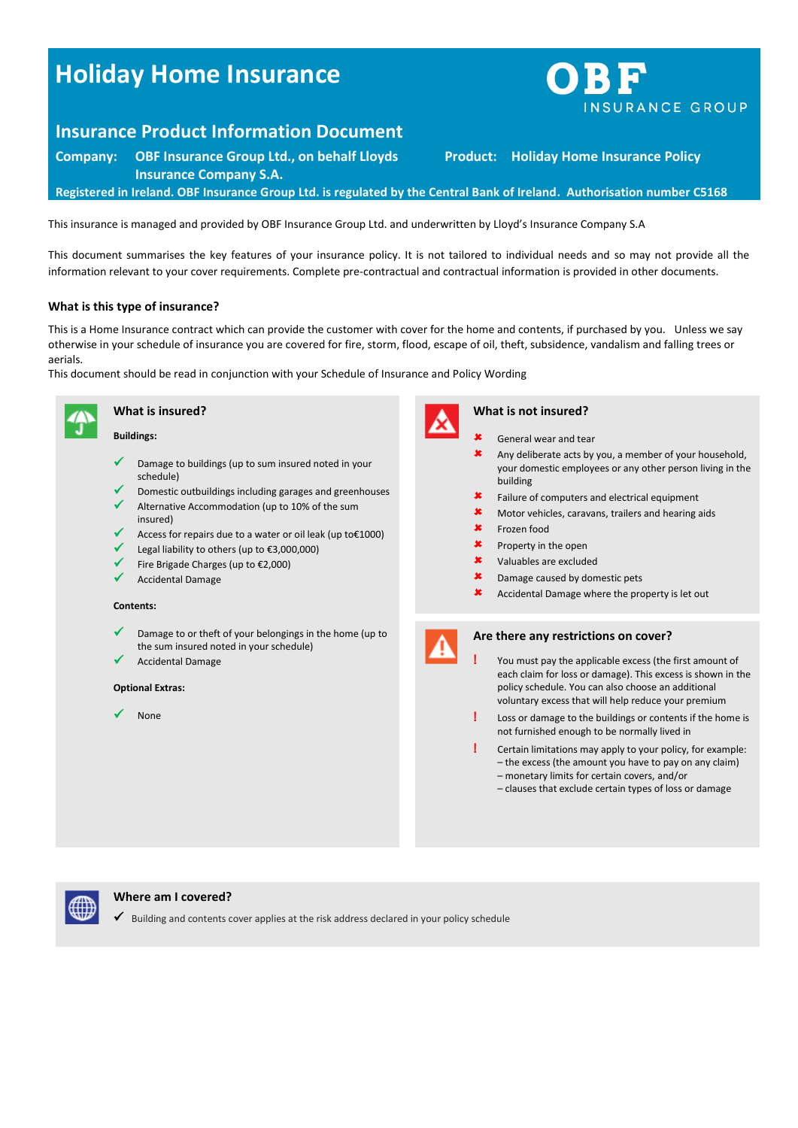# **Holiday Home Insurance**



## **Insurance Product Information Document**

**Company: OBF Insurance Group Ltd., on behalf Lloyds Insurance Company S.A. Product: Holiday Home Insurance Policy Registered in Ireland. OBF Insurance Group Ltd. is regulated by the Central Bank of Ireland. Authorisation number C5168**

This insurance is managed and provided by OBF Insurance Group Ltd. and underwritten by Lloyd's Insurance Company S.A

This document summarises the key features of your insurance policy. It is not tailored to individual needs and so may not provide all the information relevant to your cover requirements. Complete pre-contractual and contractual information is provided in other documents.

#### **What is this type of insurance?**

This is a Home Insurance contract which can provide the customer with cover for the home and contents, if purchased by you. Unless we say otherwise in your schedule of insurance you are covered for fire, storm, flood, escape of oil, theft, subsidence, vandalism and falling trees or aerials.

This document should be read in conjunction with your Schedule of Insurance and Policy Wording



**Buildings:**

**What is insured?**

- Damage to buildings (up to sum insured noted in your schedule)
- Domestic outbuildings including garages and greenhouses
- Alternative Accommodation (up to 10% of the sum insured)
- Access for repairs due to a water or oil leak (up to€1000)
- Legal liability to others (up to €3,000,000)
- Fire Brigade Charges (up to €2,000)
- Accidental Damage

#### **Contents:**

- Damage to or theft of your belongings in the home (up to the sum insured noted in your schedule)
- Accidental Damage

#### **Optional Extras:**

None



### **What is not insured?**

- General wear and tear  $\star$  Any deliberate acts by you, a member of your household, your domestic employees or any other person living in the building Failure of computers and electrical equipment Motor vehicles, caravans, trailers and hearing aids Frozen food  $\mathbf{\times}$  Property in the open
- Valuables are excluded
- **\*** Damage caused by domestic pets
- Accidental Damage where the property is let out



#### **Are there any restrictions on cover?**

- **!** You must pay the applicable excess (the first amount of each claim for loss or damage). This excess is shown in the policy schedule. You can also choose an additional voluntary excess that will help reduce your premium
- **!** Loss or damage to the buildings or contents if the home is not furnished enough to be normally lived in
- **!** Certain limitations may apply to your policy, for example: – the excess (the amount you have to pay on any claim) – monetary limits for certain covers, and/or
	- clauses that exclude certain types of loss or damage



#### **Where am I covered?**

 $\checkmark$  Building and contents cover applies at the risk address declared in your policy schedule